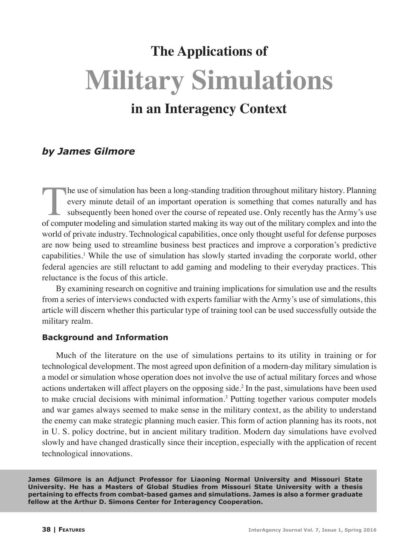# **The Applications of Military Simulations**

## **in an Interagency Context**

### *by James Gilmore*

The use of simulation has been a long-standing tradition throughout military history. Planning<br>every minute detail of an important operation is something that comes naturally and has<br>subsequently been honed over the course every minute detail of an important operation is something that comes naturally and has subsequently been honed over the course of repeated use. Only recently has the Army's use of computer modeling and simulation started making its way out of the military complex and into the world of private industry. Technological capabilities, once only thought useful for defense purposes are now being used to streamline business best practices and improve a corporation's predictive capabilities.<sup>1</sup> While the use of simulation has slowly started invading the corporate world, other federal agencies are still reluctant to add gaming and modeling to their everyday practices. This reluctance is the focus of this article.

By examining research on cognitive and training implications for simulation use and the results from a series of interviews conducted with experts familiar with the Army's use of simulations, this article will discern whether this particular type of training tool can be used successfully outside the military realm.

#### **Background and Information**

Much of the literature on the use of simulations pertains to its utility in training or for technological development. The most agreed upon definition of a modern-day military simulation is a model or simulation whose operation does not involve the use of actual military forces and whose actions undertaken will affect players on the opposing side.<sup>2</sup> In the past, simulations have been used to make crucial decisions with minimal information.<sup>3</sup> Putting together various computer models and war games always seemed to make sense in the military context, as the ability to understand the enemy can make strategic planning much easier. This form of action planning has its roots, not in U. S. policy doctrine, but in ancient military tradition. Modern day simulations have evolved slowly and have changed drastically since their inception, especially with the application of recent technological innovations.

**James Gilmore is an Adjunct Professor for Liaoning Normal University and Missouri State University. He has a Masters of Global Studies from Missouri State University with a thesis pertaining to effects from combat-based games and simulations. James is also a former graduate fellow at the Arthur D. Simons Center for Interagency Cooperation.**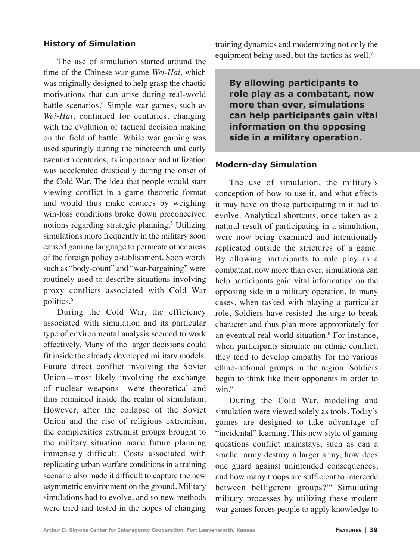#### **History of Simulation**

The use of simulation started around the time of the Chinese war game *Wei-Hai*, which was originally designed to help grasp the chaotic motivations that can arise during real-world battle scenarios.4 Simple war games, such as *Wei-Hai*, continued for centuries, changing with the evolution of tactical decision making on the field of battle. While war gaming was used sparingly during the nineteenth and early twentieth centuries, its importance and utilization was accelerated drastically during the onset of the Cold War. The idea that people would start viewing conflict in a game theoretic format and would thus make choices by weighing win-loss conditions broke down preconceived notions regarding strategic planning.<sup>5</sup> Utilizing simulations more frequently in the military soon caused gaming language to permeate other areas of the foreign policy establishment. Soon words such as "body-count" and "war-bargaining" were routinely used to describe situations involving proxy conflicts associated with Cold War politics.6

During the Cold War, the efficiency associated with simulation and its particular type of environmental analysis seemed to work effectively. Many of the larger decisions could fit inside the already developed military models. Future direct conflict involving the Soviet Union—most likely involving the exchange of nuclear weapons—were theoretical and thus remained inside the realm of simulation. However, after the collapse of the Soviet Union and the rise of religious extremism, the complexities extremist groups brought to the military situation made future planning immensely difficult. Costs associated with replicating urban warfare conditions in a training scenario also made it difficult to capture the new asymmetric environment on the ground. Military simulations had to evolve, and so new methods were tried and tested in the hopes of changing training dynamics and modernizing not only the equipment being used, but the tactics as well.<sup>7</sup>

**By allowing participants to role play as a combatant, now more than ever, simulations can help participants gain vital information on the opposing side in a military operation.**

#### **Modern-day Simulation**

The use of simulation, the military's conception of how to use it, and what effects it may have on those participating in it had to evolve. Analytical shortcuts, once taken as a natural result of participating in a simulation, were now being examined and intentionally replicated outside the strictures of a game. By allowing participants to role play as a combatant, now more than ever, simulations can help participants gain vital information on the opposing side in a military operation. In many cases, when tasked with playing a particular role, Soldiers have resisted the urge to break character and thus plan more appropriately for an eventual real-world situation.8 For instance, when participants simulate an ethnic conflict, they tend to develop empathy for the various ethno-national groups in the region. Soldiers begin to think like their opponents in order to win.<sup>9</sup>

During the Cold War, modeling and simulation were viewed solely as tools. Today's games are designed to take advantage of "incidental" learning. This new style of gaming questions conflict mainstays, such as can a smaller army destroy a larger army, how does one guard against unintended consequences, and how many troops are sufficient to intercede between belligerent groups?<sup>10</sup> Simulating military processes by utilizing these modern war games forces people to apply knowledge to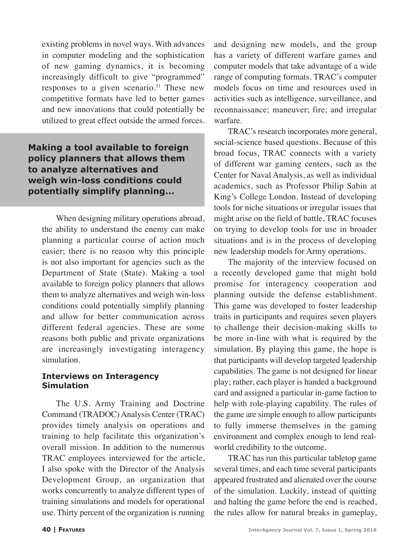existing problems in novel ways. With advances in computer modeling and the sophistication of new gaming dynamics, it is becoming increasingly difficult to give "programmed" responses to a given scenario.<sup>11</sup> These new competitive formats have led to better games and new innovations that could potentially be utilized to great effect outside the armed forces.

**Making a tool available to foreign policy planners that allows them to analyze alternatives and weigh win-loss conditions could potentially simplify planning...**

When designing military operations abroad, the ability to understand the enemy can make planning a particular course of action much easier; there is no reason why this principle is not also important for agencies such as the Department of State (State). Making a tool available to foreign policy planners that allows them to analyze alternatives and weigh win-loss conditions could potentially simplify planning and allow for better communication across different federal agencies. These are some reasons both public and private organizations are increasingly investigating interagency simulation.

#### **Interviews on Interagency Simulation**

The U.S. Army Training and Doctrine Command (TRADOC) Analysis Center (TRAC) provides timely analysis on operations and training to help facilitate this organization's overall mission. In addition to the numerous TRAC employees interviewed for the article, I also spoke with the Director of the Analysis Development Group, an organization that works concurrently to analyze different types of training simulations and models for operational use. Thirty percent of the organization is running

and designing new models, and the group has a variety of different warfare games and computer models that take advantage of a wide range of computing formats. TRAC's computer models focus on time and resources used in activities such as intelligence, surveillance, and reconnaissance; maneuver; fire; and irregular warfare.

TRAC's research incorporates more general, social-science based questions. Because of this broad focus, TRAC connects with a variety of different war gaming centers, such as the Center for Naval Analysis, as well as individual academics, such as Professor Philip Sabin at King's College London. Instead of developing tools for niche situations or irregular issues that might arise on the field of battle, TRAC focuses on trying to develop tools for use in broader situations and is in the process of developing new leadership models for Army operations.

The majority of the interview focused on a recently developed game that might hold promise for interagency cooperation and planning outside the defense establishment. This game was developed to foster leadership traits in participants and requires seven players to challenge their decision-making skills to be more in-line with what is required by the simulation. By playing this game, the hope is that participants will develop targeted leadership capabilities. The game is not designed for linear play; rather, each player is handed a background card and assigned a particular in-game faction to help with role-playing capability. The rules of the game are simple enough to allow participants to fully immerse themselves in the gaming environment and complex enough to lend realworld credibility to the outcome.

TRAC has run this particular tabletop game several times, and each time several participants appeared frustrated and alienated over the course of the simulation. Luckily, instead of quitting and halting the game before the end is reached, the rules allow for natural breaks in gameplay,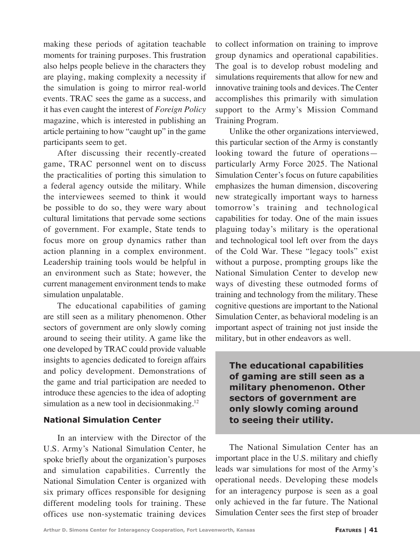making these periods of agitation teachable moments for training purposes. This frustration also helps people believe in the characters they are playing, making complexity a necessity if the simulation is going to mirror real-world events. TRAC sees the game as a success, and it has even caught the interest of *Foreign Policy* magazine, which is interested in publishing an article pertaining to how "caught up" in the game participants seem to get.

After discussing their recently-created game, TRAC personnel went on to discuss the practicalities of porting this simulation to a federal agency outside the military. While the interviewees seemed to think it would be possible to do so, they were wary about cultural limitations that pervade some sections of government. For example, State tends to focus more on group dynamics rather than action planning in a complex environment. Leadership training tools would be helpful in an environment such as State; however, the current management environment tends to make simulation unpalatable.

The educational capabilities of gaming are still seen as a military phenomenon. Other sectors of government are only slowly coming around to seeing their utility. A game like the one developed by TRAC could provide valuable insights to agencies dedicated to foreign affairs and policy development. Demonstrations of the game and trial participation are needed to introduce these agencies to the idea of adopting simulation as a new tool in decisionmaking.<sup>12</sup>

#### **National Simulation Center**

In an interview with the Director of the U.S. Army's National Simulation Center, he spoke briefly about the organization's purposes and simulation capabilities. Currently the National Simulation Center is organized with six primary offices responsible for designing different modeling tools for training. These offices use non-systematic training devices to collect information on training to improve group dynamics and operational capabilities. The goal is to develop robust modeling and simulations requirements that allow for new and innovative training tools and devices. The Center accomplishes this primarily with simulation support to the Army's Mission Command Training Program.

Unlike the other organizations interviewed, this particular section of the Army is constantly looking toward the future of operations particularly Army Force 2025. The National Simulation Center's focus on future capabilities emphasizes the human dimension, discovering new strategically important ways to harness tomorrow's training and technological capabilities for today. One of the main issues plaguing today's military is the operational and technological tool left over from the days of the Cold War. These "legacy tools" exist without a purpose, prompting groups like the National Simulation Center to develop new ways of divesting these outmoded forms of training and technology from the military. These cognitive questions are important to the National Simulation Center, as behavioral modeling is an important aspect of training not just inside the military, but in other endeavors as well.

**The educational capabilities of gaming are still seen as a military phenomenon. Other sectors of government are only slowly coming around to seeing their utility.**

The National Simulation Center has an important place in the U.S. military and chiefly leads war simulations for most of the Army's operational needs. Developing these models for an interagency purpose is seen as a goal only achieved in the far future. The National Simulation Center sees the first step of broader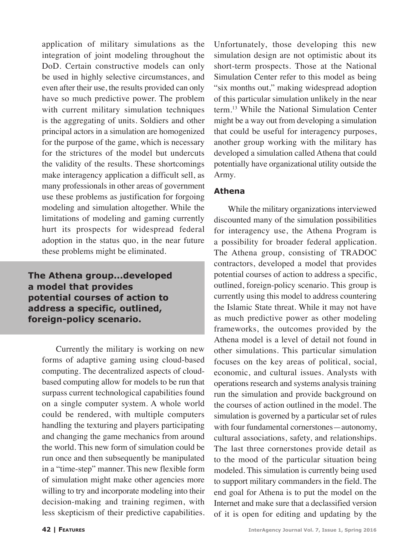application of military simulations as the integration of joint modeling throughout the DoD. Certain constructive models can only be used in highly selective circumstances, and even after their use, the results provided can only have so much predictive power. The problem with current military simulation techniques is the aggregating of units. Soldiers and other principal actors in a simulation are homogenized for the purpose of the game, which is necessary for the strictures of the model but undercuts the validity of the results. These shortcomings make interagency application a difficult sell, as many professionals in other areas of government use these problems as justification for forgoing modeling and simulation altogether. While the limitations of modeling and gaming currently hurt its prospects for widespread federal adoption in the status quo, in the near future these problems might be eliminated.

**The Athena group...developed a model that provides potential courses of action to address a specific, outlined, foreign-policy scenario.**

Currently the military is working on new forms of adaptive gaming using cloud-based computing. The decentralized aspects of cloudbased computing allow for models to be run that surpass current technological capabilities found on a single computer system. A whole world could be rendered, with multiple computers handling the texturing and players participating and changing the game mechanics from around the world. This new form of simulation could be run once and then subsequently be manipulated in a "time-step" manner. This new flexible form of simulation might make other agencies more willing to try and incorporate modeling into their decision-making and training regimen, with less skepticism of their predictive capabilities. Unfortunately, those developing this new simulation design are not optimistic about its short-term prospects. Those at the National Simulation Center refer to this model as being "six months out," making widespread adoption of this particular simulation unlikely in the near term.13 While the National Simulation Center might be a way out from developing a simulation that could be useful for interagency purposes, another group working with the military has developed a simulation called Athena that could potentially have organizational utility outside the Army.

#### **Athena**

While the military organizations interviewed discounted many of the simulation possibilities for interagency use, the Athena Program is a possibility for broader federal application. The Athena group, consisting of TRADOC contractors, developed a model that provides potential courses of action to address a specific, outlined, foreign-policy scenario. This group is currently using this model to address countering the Islamic State threat. While it may not have as much predictive power as other modeling frameworks, the outcomes provided by the Athena model is a level of detail not found in other simulations. This particular simulation focuses on the key areas of political, social, economic, and cultural issues. Analysts with operations research and systems analysis training run the simulation and provide background on the courses of action outlined in the model. The simulation is governed by a particular set of rules with four fundamental cornerstones—autonomy, cultural associations, safety, and relationships. The last three cornerstones provide detail as to the mood of the particular situation being modeled. This simulation is currently being used to support military commanders in the field. The end goal for Athena is to put the model on the Internet and make sure that a declassified version of it is open for editing and updating by the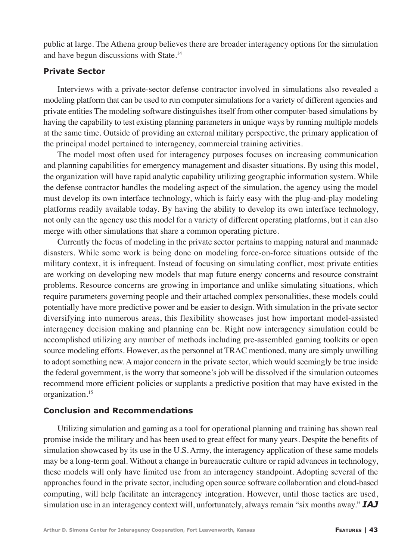public at large. The Athena group believes there are broader interagency options for the simulation and have begun discussions with State.14

#### **Private Sector**

Interviews with a private-sector defense contractor involved in simulations also revealed a modeling platform that can be used to run computer simulations for a variety of different agencies and private entities The modeling software distinguishes itself from other computer-based simulations by having the capability to test existing planning parameters in unique ways by running multiple models at the same time. Outside of providing an external military perspective, the primary application of the principal model pertained to interagency, commercial training activities.

The model most often used for interagency purposes focuses on increasing communication and planning capabilities for emergency management and disaster situations. By using this model, the organization will have rapid analytic capability utilizing geographic information system. While the defense contractor handles the modeling aspect of the simulation, the agency using the model must develop its own interface technology, which is fairly easy with the plug-and-play modeling platforms readily available today. By having the ability to develop its own interface technology, not only can the agency use this model for a variety of different operating platforms, but it can also merge with other simulations that share a common operating picture.

Currently the focus of modeling in the private sector pertains to mapping natural and manmade disasters. While some work is being done on modeling force-on-force situations outside of the military context, it is infrequent. Instead of focusing on simulating conflict, most private entities are working on developing new models that map future energy concerns and resource constraint problems. Resource concerns are growing in importance and unlike simulating situations, which require parameters governing people and their attached complex personalities, these models could potentially have more predictive power and be easier to design. With simulation in the private sector diversifying into numerous areas, this flexibility showcases just how important model-assisted interagency decision making and planning can be. Right now interagency simulation could be accomplished utilizing any number of methods including pre-assembled gaming toolkits or open source modeling efforts. However, as the personnel at TRAC mentioned, many are simply unwilling to adopt something new. A major concern in the private sector, which would seemingly be true inside the federal government, is the worry that someone's job will be dissolved if the simulation outcomes recommend more efficient policies or supplants a predictive position that may have existed in the organization.15

#### **Conclusion and Recommendations**

Utilizing simulation and gaming as a tool for operational planning and training has shown real promise inside the military and has been used to great effect for many years. Despite the benefits of simulation showcased by its use in the U.S. Army, the interagency application of these same models may be a long-term goal. Without a change in bureaucratic culture or rapid advances in technology, these models will only have limited use from an interagency standpoint. Adopting several of the approaches found in the private sector, including open source software collaboration and cloud-based computing, will help facilitate an interagency integration. However, until those tactics are used, simulation use in an interagency context will, unfortunately, always remain "six months away." *IAJ*